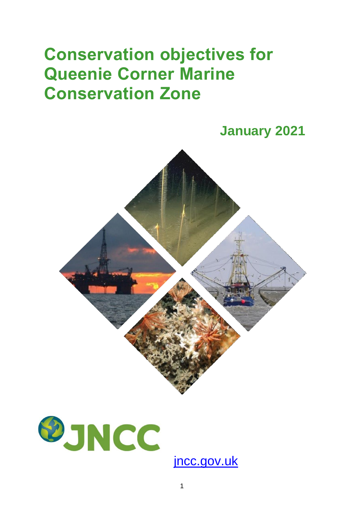## **Conservation objectives for Queenie Corner Marine Conservation Zone**





[jncc.gov.uk](https://jncc.gov.uk/)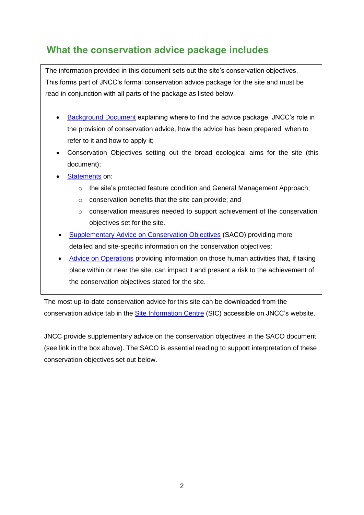## **What the conservation advice package includes**

The information provided in this document sets out the site's conservation objectives. This forms part of JNCC's formal conservation advice package for the site and must be read in conjunction with all parts of the package as listed below:

- [Background](https://hub.jncc.gov.uk/assets/13cfc298-e1bf-4576-a2d5-28d9361b0eff#QueenieCorner-Background-V1.0.pdf) Document explaining where to find the advice package, JNCC's role in the provision of conservation advice, how the advice has been prepared, when to refer to it and how to apply it;
- Conservation Objectives setting out the broad ecological aims for the site (this document);
- [Statements](https://hub.jncc.gov.uk/assets/13cfc298-e1bf-4576-a2d5-28d9361b0eff#QueenieCorner-ConservationStatements-V1.0.pdf) on:
	- o the site's protected feature condition and General Management Approach;
	- o conservation benefits that the site can provide; and
	- $\circ$  conservation measures needed to support achievement of the conservation objectives set for the site.
- [Supplementary Advice on Conservation Objectives](https://hub.jncc.gov.uk/assets/13cfc298-e1bf-4576-a2d5-28d9361b0eff#QueenieCorner-SACO-V1.0.pdf) (SACO) providing more detailed and site-specific information on the conservation objectives:
- [Advice on Operations](https://hub.jncc.gov.uk/assets/13cfc298-e1bf-4576-a2d5-28d9361b0eff#QueenieCorner-AdviceOnOperations-V1.0.xlsx) providing information on those human activities that, if taking place within or near the site, can impact it and present a risk to the achievement of the conservation objectives stated for the site.

The most up-to-date conservation advice for this site can be downloaded from the conservation advice tab in the [Site Information Centre](https://jncc.gov.uk/our-work/queenie-corner-mpa/) (SIC) accessible on JNCC's website.

JNCC provide supplementary advice on the conservation objectives in the SACO document (see link in the box above). The SACO is essential reading to support interpretation of these conservation objectives set out below.